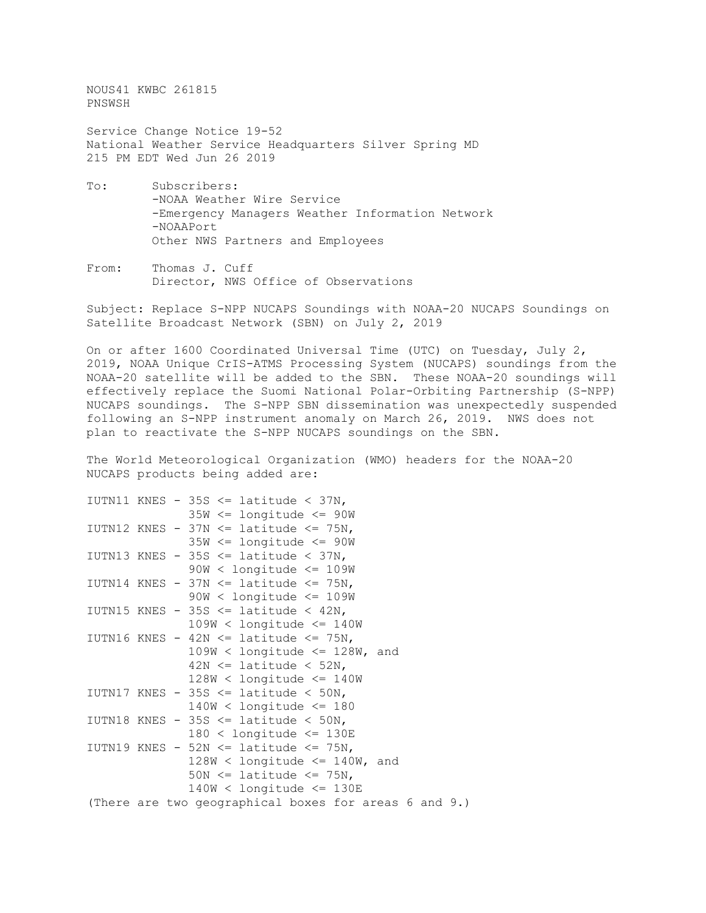NOUS41 KWBC 261815 PNSWSH

Service Change Notice 19-52 National Weather Service Headquarters Silver Spring MD 215 PM EDT Wed Jun 26 2019

- To: Subscribers: -NOAA Weather Wire Service -Emergency Managers Weather Information Network -NOAAPort Other NWS Partners and Employees
- From: Thomas J. Cuff Director, NWS Office of Observations

Subject: Replace S-NPP NUCAPS Soundings with NOAA-20 NUCAPS Soundings on Satellite Broadcast Network (SBN) on July 2, 2019

On or after 1600 Coordinated Universal Time (UTC) on Tuesday, July 2, 2019, NOAA Unique CrIS-ATMS Processing System (NUCAPS) soundings from the NOAA-20 satellite will be added to the SBN. These NOAA-20 soundings will effectively replace the Suomi National Polar-Orbiting Partnership (S-NPP) NUCAPS soundings. The S-NPP SBN dissemination was unexpectedly suspended following an S-NPP instrument anomaly on March 26, 2019. NWS does not plan to reactivate the S-NPP NUCAPS soundings on the SBN.

The World Meteorological Organization (WMO) headers for the NOAA-20 NUCAPS products being added are:

```
IUTN11 KNES - 35S \leq latitude \leq 37N,
               35W <= longitude <= 90W
IUTN12 KNES - 37N \leq latitude \leq 75N,
                35W <= longitude <= 90W
IUTN13 KNES - 35S \le latitude \le 37N,
               90W < longitude <= 109W
IUTN14 KNES - 37N \le latitude \le 75N,
               90W < longitude <= 109W
IUTN15 KNES - 35S \le latitude \le 42N,
               109W < longitude <= 140W
IUTN16 KNES - 42N \le latitude \le 75N,
               109W < longitude \leq 128W, and
                42N <= latitude < 52N,
               128W < longitude <= 140W
IUTN17 KNES - 35S \le latitude \le 50N,
               140W < longitude <= 180
IUTN18 KNES - 35S \le latitude \le 50N,
               180 < longitude <= 130E
IUTN19 KNES - 52N \le latitude \le 75N,
               128W < longitude \leq 140W, and
               50N \leq latitude \leq 75N,
                140W < longitude <= 130E
(There are two geographical boxes for areas 6 and 9.)
```